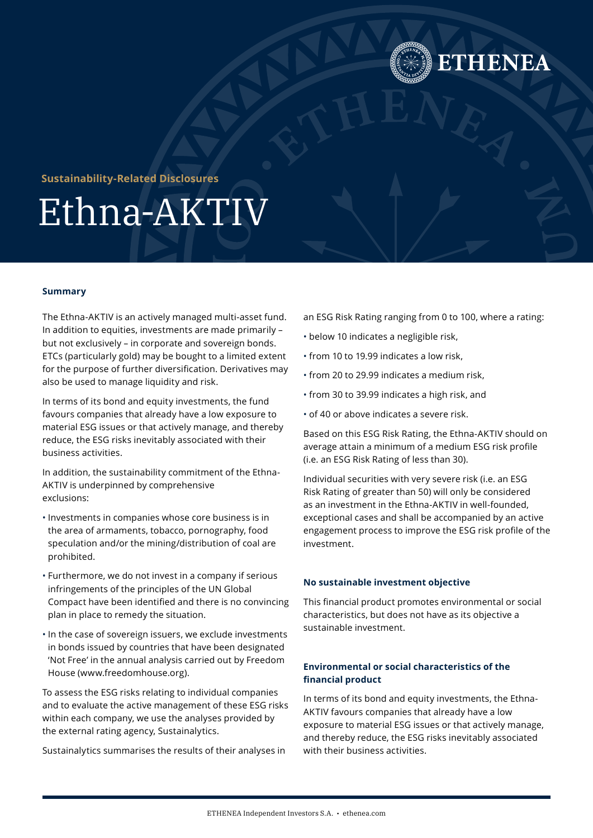

## **Sustainability-Related Disclosures**

# Ethna-AKTIV

#### **Summary**

The Ethna-AKTIV is an actively managed multi-asset fund. In addition to equities, investments are made primarily – but not exclusively – in corporate and sovereign bonds. ETCs (particularly gold) may be bought to a limited extent for the purpose of further diversification. Derivatives may also be used to manage liquidity and risk.

In terms of its bond and equity investments, the fund favours companies that already have a low exposure to material ESG issues or that actively manage, and thereby reduce, the ESG risks inevitably associated with their business activities.

In addition, the sustainability commitment of the Ethna-AKTIV is underpinned by comprehensive exclusions:

- Investments in companies whose core business is in the area of armaments, tobacco, pornography, food speculation and/or the mining/distribution of coal are prohibited.
- Furthermore, we do not invest in a company if serious infringements of the principles of the UN Global Compact have been identified and there is no convincing plan in place to remedy the situation.
- In the case of sovereign issuers, we exclude investments in bonds issued by countries that have been designated 'Not Free' in the annual analysis carried out by Freedom House (www.freedomhouse.org).

To assess the ESG risks relating to individual companies and to evaluate the active management of these ESG risks within each company, we use the analyses provided by the external rating agency, Sustainalytics.

Sustainalytics summarises the results of their analyses in

an ESG Risk Rating ranging from 0 to 100, where a rating:

- below 10 indicates a negligible risk,
- from 10 to 19.99 indicates a low risk,
- from 20 to 29.99 indicates a medium risk,
- from 30 to 39.99 indicates a high risk, and
- of 40 or above indicates a severe risk.

Based on this ESG Risk Rating, the Ethna-AKTIV should on average attain a minimum of a medium ESG risk profile (i.e. an ESG Risk Rating of less than 30).

Individual securities with very severe risk (i.e. an ESG Risk Rating of greater than 50) will only be considered as an investment in the Ethna-AKTIV in well-founded, exceptional cases and shall be accompanied by an active engagement process to improve the ESG risk profile of the investment.

#### **No sustainable investment objective**

This financial product promotes environmental or social characteristics, but does not have as its objective a sustainable investment.

### **Environmental or social characteristics of the financial product**

In terms of its bond and equity investments, the Ethna-AKTIV favours companies that already have a low exposure to material ESG issues or that actively manage, and thereby reduce, the ESG risks inevitably associated with their business activities.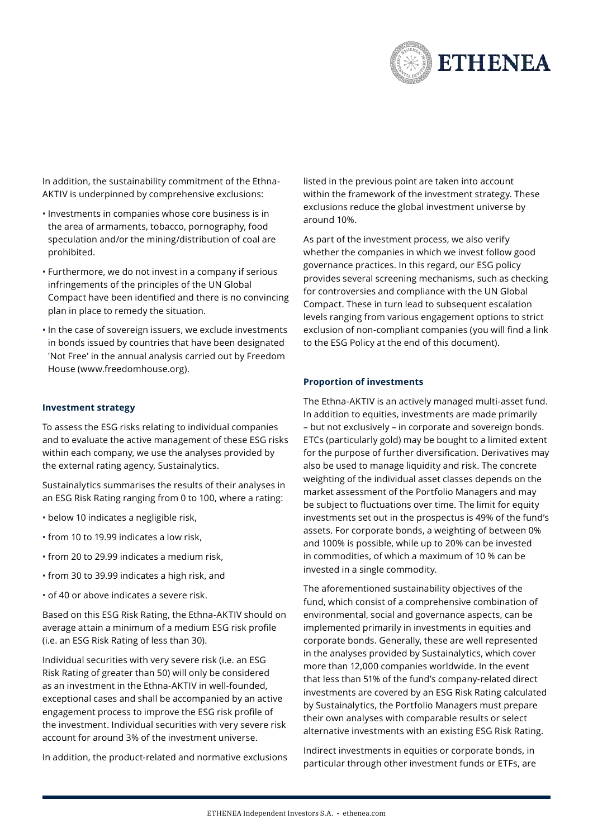

In addition, the sustainability commitment of the Ethna-AKTIV is underpinned by comprehensive exclusions:

- Investments in companies whose core business is in the area of armaments, tobacco, pornography, food speculation and/or the mining/distribution of coal are prohibited.
- Furthermore, we do not invest in a company if serious infringements of the principles of the UN Global Compact have been identified and there is no convincing plan in place to remedy the situation.
- In the case of sovereign issuers, we exclude investments in bonds issued by countries that have been designated 'Not Free' in the annual analysis carried out by Freedom House ([www.freedomhouse.org](https://freedomhouse.org/)).

#### **Investment strategy**

To assess the ESG risks relating to individual companies and to evaluate the active management of these ESG risks within each company, we use the analyses provided by the external rating agency, Sustainalytics.

Sustainalytics summarises the results of their analyses in an ESG Risk Rating ranging from 0 to 100, where a rating:

- below 10 indicates a negligible risk,
- from 10 to 19.99 indicates a low risk,
- from 20 to 29.99 indicates a medium risk,
- from 30 to 39.99 indicates a high risk, and
- of 40 or above indicates a severe risk.

Based on this ESG Risk Rating, the Ethna-AKTIV should on average attain a minimum of a medium ESG risk profile (i.e. an ESG Risk Rating of less than 30).

Individual securities with very severe risk (i.e. an ESG Risk Rating of greater than 50) will only be considered as an investment in the Ethna-AKTIV in well-founded, exceptional cases and shall be accompanied by an active engagement process to improve the ESG risk profile of the investment. Individual securities with very severe risk account for around 3% of the investment universe.

In addition, the product-related and normative exclusions

listed in the previous point are taken into account within the framework of the investment strategy. These exclusions reduce the global investment universe by around 10%.

As part of the investment process, we also verify whether the companies in which we invest follow good governance practices. In this regard, our ESG policy provides several screening mechanisms, such as checking for controversies and compliance with the UN Global Compact. These in turn lead to subsequent escalation levels ranging from various engagement options to strict exclusion of non-compliant companies (you will find a link to the ESG Policy at the end of this document).

#### **Proportion of investments**

The Ethna-AKTIV is an actively managed multi-asset fund. In addition to equities, investments are made primarily – but not exclusively – in corporate and sovereign bonds. ETCs (particularly gold) may be bought to a limited extent for the purpose of further diversification. Derivatives may also be used to manage liquidity and risk. The concrete weighting of the individual asset classes depends on the market assessment of the Portfolio Managers and may be subject to fluctuations over time. The limit for equity investments set out in the prospectus is 49% of the fund's assets. For corporate bonds, a weighting of between 0% and 100% is possible, while up to 20% can be invested in commodities, of which a maximum of 10 % can be invested in a single commodity.

The aforementioned sustainability objectives of the fund, which consist of a comprehensive combination of environmental, social and governance aspects, can be implemented primarily in investments in equities and corporate bonds. Generally, these are well represented in the analyses provided by Sustainalytics, which cover more than 12,000 companies worldwide. In the event that less than 51% of the fund's company-related direct investments are covered by an ESG Risk Rating calculated by Sustainalytics, the Portfolio Managers must prepare their own analyses with comparable results or select alternative investments with an existing ESG Risk Rating.

Indirect investments in equities or corporate bonds, in particular through other investment funds or ETFs, are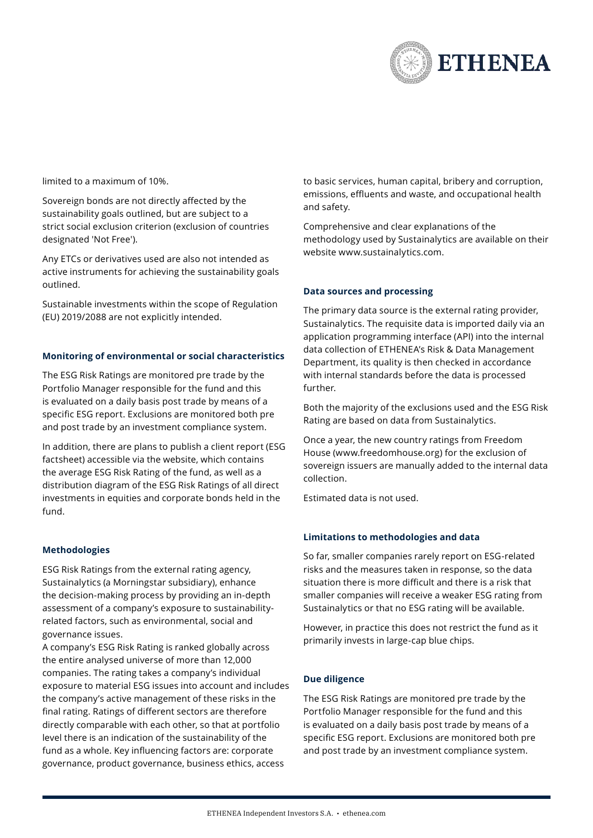

limited to a maximum of 10%.

Sovereign bonds are not directly affected by the sustainability goals outlined, but are subject to a strict social exclusion criterion (exclusion of countries designated 'Not Free').

Any ETCs or derivatives used are also not intended as active instruments for achieving the sustainability goals outlined.

Sustainable investments within the scope of Regulation (EU) 2019/2088 are not explicitly intended.

#### **Monitoring of environmental or social characteristics**

The ESG Risk Ratings are monitored pre trade by the Portfolio Manager responsible for the fund and this is evaluated on a daily basis post trade by means of a specific ESG report. Exclusions are monitored both pre and post trade by an investment compliance system.

In addition, there are plans to publish a client report (ESG factsheet) accessible via the website, which contains the average ESG Risk Rating of the fund, as well as a distribution diagram of the ESG Risk Ratings of all direct investments in equities and corporate bonds held in the fund.

#### **Methodologies**

ESG Risk Ratings from the external rating agency, Sustainalytics (a Morningstar subsidiary), enhance the decision-making process by providing an in-depth assessment of a company's exposure to sustainabilityrelated factors, such as environmental, social and governance issues.

A company's ESG Risk Rating is ranked globally across the entire analysed universe of more than 12,000 companies. The rating takes a company's individual exposure to material ESG issues into account and includes the company's active management of these risks in the final rating. Ratings of different sectors are therefore directly comparable with each other, so that at portfolio level there is an indication of the sustainability of the fund as a whole. Key influencing factors are: corporate governance, product governance, business ethics, access

to basic services, human capital, bribery and corruption, emissions, effluents and waste, and occupational health and safety.

Comprehensive and clear explanations of the methodology used by Sustainalytics are available on their website [www.sustainalytics.com.](https://www.sustainalytics.com/)

#### **Data sources and processing**

The primary data source is the external rating provider, Sustainalytics. The requisite data is imported daily via an application programming interface (API) into the internal data collection of ETHENEA's Risk & Data Management Department, its quality is then checked in accordance with internal standards before the data is processed further.

Both the majority of the exclusions used and the ESG Risk Rating are based on data from Sustainalytics.

Once a year, the new country ratings from Freedom House [\(www.freedomhouse.org\)](https://freedomhouse.org/) for the exclusion of sovereign issuers are manually added to the internal data collection.

Estimated data is not used.

#### **Limitations to methodologies and data**

So far, smaller companies rarely report on ESG-related risks and the measures taken in response, so the data situation there is more difficult and there is a risk that smaller companies will receive a weaker ESG rating from Sustainalytics or that no ESG rating will be available.

However, in practice this does not restrict the fund as it primarily invests in large-cap blue chips.

#### **Due diligence**

The ESG Risk Ratings are monitored pre trade by the Portfolio Manager responsible for the fund and this is evaluated on a daily basis post trade by means of a specific ESG report. Exclusions are monitored both pre and post trade by an investment compliance system.